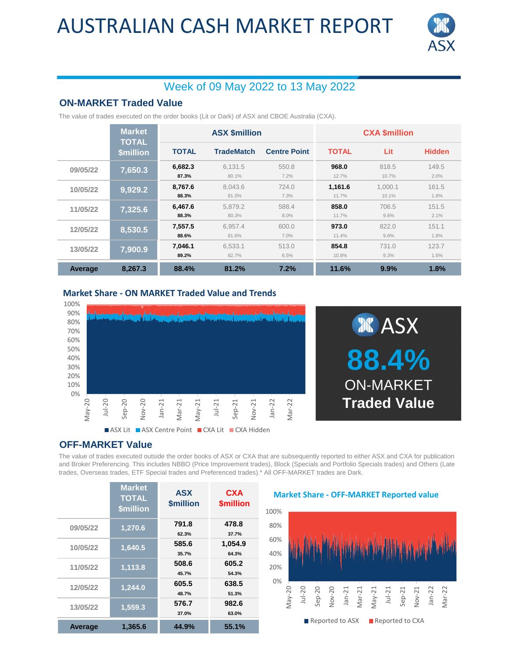## AUSTRALIAN CASH MARKET REPORT



### Week of 09 May 2022 to 13 May 2022

### **ON-MARKET Traded Value**

The value of trades executed on the order books (Lit or Dark) of ASX and CBOE Australia (CXA).

|          | <b>Market</b><br><b>TOTAL</b><br><b>\$million</b> | <b>ASX \$million</b> |                   |                     | <b>CXA \$million</b> |                  |               |
|----------|---------------------------------------------------|----------------------|-------------------|---------------------|----------------------|------------------|---------------|
|          |                                                   | <b>TOTAL</b>         | <b>TradeMatch</b> | <b>Centre Point</b> | <b>TOTAL</b>         | Lit              | <b>Hidden</b> |
| 09/05/22 | 7,650.3                                           | 6,682.3<br>87.3%     | 6.131.5<br>80.1%  | 550.8<br>7.2%       | 968.0<br>12.7%       | 818.5<br>10.7%   | 149.5<br>2.0% |
| 10/05/22 | 9,929.2                                           | 8.767.6<br>88.3%     | 8.043.6<br>81.0%  | 724.0<br>7.3%       | 1.161.6<br>11.7%     | 1.000.1<br>10.1% | 161.5<br>1.6% |
| 11/05/22 | 7,325.6                                           | 6.467.6<br>88.3%     | 5.879.2<br>80.3%  | 588.4<br>8.0%       | 858.0<br>11.7%       | 706.5<br>9.6%    | 151.5<br>2.1% |
| 12/05/22 | 8,530.5                                           | 7,557.5<br>88.6%     | 6.957.4<br>81.6%  | 600.0<br>7.0%       | 973.0<br>11.4%       | 822.0<br>9.6%    | 151.1<br>1.8% |
| 13/05/22 | 7,900.9                                           | 7,046.1<br>89.2%     | 6.533.1<br>82.7%  | 513.0<br>6.5%       | 854.8<br>10.8%       | 731.0<br>9.3%    | 123.7<br>1.6% |
| Average  | 8.267.3                                           | 88.4%                | 81.2%             | 7.2%                | 11.6%                | 9.9%             | 1.8%          |

#### **Market Share - ON MARKET Traded Value and Trends**





#### **OFF-MARKET Value**

The value of trades executed outside the order books of ASX or CXA that are subsequently reported to either ASX and CXA for publication and Broker Preferencing. This includes NBBO (Price Improvement trades), Block (Specials and Portfolio Specials trades) and Others (Late trades, Overseas trades, ETF Special trades and Preferenced trades).\* All OFF-MARKET trades are Dark.

|                | <b>Market</b><br><b>TOTAL</b><br><b>\$million</b> | <b>ASX</b><br><b><i><u>Smillion</u></i></b> | <b>CXA</b><br><b>\$million</b> |
|----------------|---------------------------------------------------|---------------------------------------------|--------------------------------|
| 09/05/22       | 1,270.6                                           | 791.8<br>62.3%                              | 478.8<br>37.7%                 |
| 10/05/22       | 1,640.5                                           | 585.6<br>35.7%                              | 1,054.9<br>64.3%               |
| 11/05/22       | 1,113.8                                           | 508.6<br>45.7%                              | 605.2<br>54.3%                 |
| 12/05/22       | 1,244.0                                           | 605.5<br>48.7%                              | 638.5<br>51.3%                 |
| 13/05/22       | 1,559.3                                           | 576.7<br>37.0%                              | 982.6<br>63.0%                 |
| <b>Average</b> | 1,365.6                                           | 44.9%                                       | 55.1%                          |

#### **Market Share - OFF-MARKET Reported value**